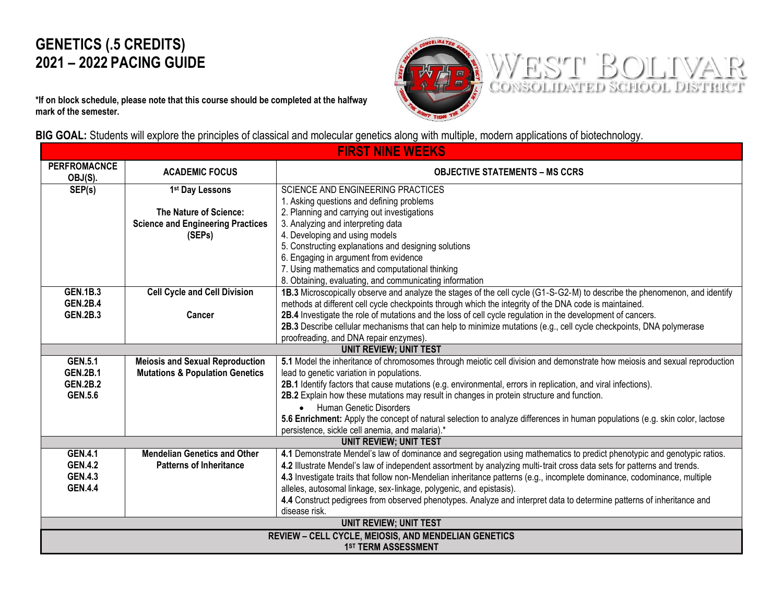## **GENETICS (.5 CREDITS) 2021 – 2022 PACING GUIDE**

WEST BOLIVAR

**\*If on block schedule, please note that this course should be completed at the halfway mark of the semester.** 



| <b>FIRST NINE WEEKS</b>                              |                                            |                                                                                                                              |  |  |  |
|------------------------------------------------------|--------------------------------------------|------------------------------------------------------------------------------------------------------------------------------|--|--|--|
| <b>PERFROMACNCE</b><br>OBJ(S).                       | <b>ACADEMIC FOCUS</b>                      | <b>OBJECTIVE STATEMENTS - MS CCRS</b>                                                                                        |  |  |  |
| SEP(s)                                               | 1st Day Lessons                            | SCIENCE AND ENGINEERING PRACTICES                                                                                            |  |  |  |
|                                                      |                                            | 1. Asking questions and defining problems                                                                                    |  |  |  |
|                                                      | The Nature of Science:                     | 2. Planning and carrying out investigations                                                                                  |  |  |  |
|                                                      | <b>Science and Engineering Practices</b>   | 3. Analyzing and interpreting data                                                                                           |  |  |  |
|                                                      | (SEPs)                                     | 4. Developing and using models                                                                                               |  |  |  |
|                                                      |                                            | 5. Constructing explanations and designing solutions                                                                         |  |  |  |
|                                                      |                                            | 6. Engaging in argument from evidence                                                                                        |  |  |  |
|                                                      |                                            | 7. Using mathematics and computational thinking                                                                              |  |  |  |
|                                                      |                                            | 8. Obtaining, evaluating, and communicating information                                                                      |  |  |  |
| <b>GEN.1B.3</b>                                      | <b>Cell Cycle and Cell Division</b>        | 1B.3 Microscopically observe and analyze the stages of the cell cycle (G1-S-G2-M) to describe the phenomenon, and identify   |  |  |  |
| <b>GEN.2B.4</b>                                      |                                            | methods at different cell cycle checkpoints through which the integrity of the DNA code is maintained.                       |  |  |  |
| <b>GEN.2B.3</b>                                      | Cancer                                     | 2B.4 Investigate the role of mutations and the loss of cell cycle regulation in the development of cancers.                  |  |  |  |
|                                                      |                                            | 2B.3 Describe cellular mechanisms that can help to minimize mutations (e.g., cell cycle checkpoints, DNA polymerase          |  |  |  |
|                                                      |                                            | proofreading, and DNA repair enzymes).                                                                                       |  |  |  |
|                                                      |                                            | <b>UNIT REVIEW; UNIT TEST</b>                                                                                                |  |  |  |
| <b>GEN.5.1</b>                                       | <b>Meiosis and Sexual Reproduction</b>     | 5.1 Model the inheritance of chromosomes through meiotic cell division and demonstrate how meiosis and sexual reproduction   |  |  |  |
| <b>GEN.2B.1</b>                                      | <b>Mutations &amp; Population Genetics</b> | lead to genetic variation in populations.                                                                                    |  |  |  |
| <b>GEN.2B.2</b>                                      |                                            | 2B.1 Identify factors that cause mutations (e.g. environmental, errors in replication, and viral infections).                |  |  |  |
| <b>GEN.5.6</b>                                       |                                            | 2B.2 Explain how these mutations may result in changes in protein structure and function.                                    |  |  |  |
|                                                      |                                            | <b>Human Genetic Disorders</b><br>$\bullet$                                                                                  |  |  |  |
|                                                      |                                            | 5.6 Enrichment: Apply the concept of natural selection to analyze differences in human populations (e.g. skin color, lactose |  |  |  |
|                                                      |                                            | persistence, sickle cell anemia, and malaria).*                                                                              |  |  |  |
| <b>UNIT REVIEW; UNIT TEST</b>                        |                                            |                                                                                                                              |  |  |  |
| <b>GEN.4.1</b>                                       | <b>Mendelian Genetics and Other</b>        | 4.1 Demonstrate Mendel's law of dominance and segregation using mathematics to predict phenotypic and genotypic ratios.      |  |  |  |
| <b>GEN.4.2</b>                                       | <b>Patterns of Inheritance</b>             | 4.2 Illustrate Mendel's law of independent assortment by analyzing multi-trait cross data sets for patterns and trends.      |  |  |  |
| <b>GEN.4.3</b>                                       |                                            | 4.3 Investigate traits that follow non-Mendelian inheritance patterns (e.g., incomplete dominance, codominance, multiple     |  |  |  |
| <b>GEN.4.4</b>                                       |                                            | alleles, autosomal linkage, sex-linkage, polygenic, and epistasis).                                                          |  |  |  |
|                                                      |                                            | 4.4 Construct pedigrees from observed phenotypes. Analyze and interpret data to determine patterns of inheritance and        |  |  |  |
|                                                      |                                            | disease risk.                                                                                                                |  |  |  |
| <b>UNIT REVIEW; UNIT TEST</b>                        |                                            |                                                                                                                              |  |  |  |
| REVIEW - CELL CYCLE, MEIOSIS, AND MENDELIAN GENETICS |                                            |                                                                                                                              |  |  |  |
|                                                      | 1 <sup>ST</sup> TERM ASSESSMENT            |                                                                                                                              |  |  |  |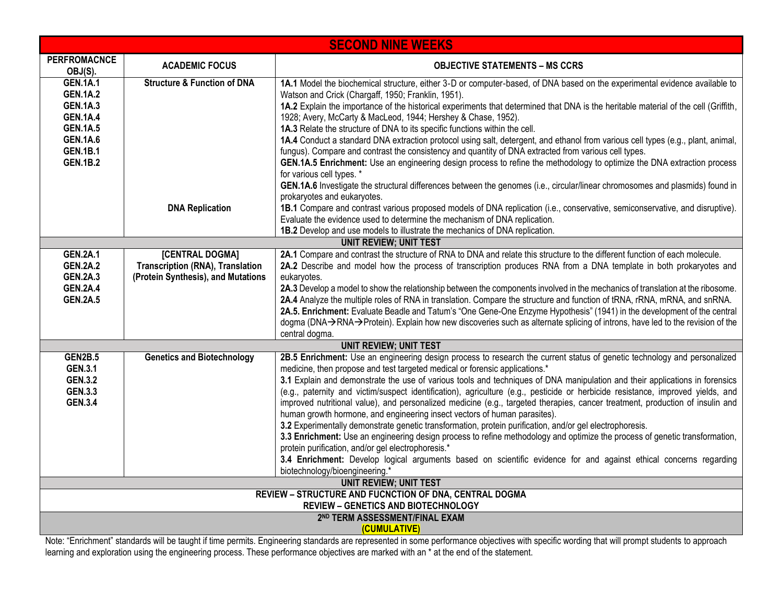| <b>SECOND NINE WEEKS</b>                               |                                         |                                                                                                                                                                                                            |  |  |  |
|--------------------------------------------------------|-----------------------------------------|------------------------------------------------------------------------------------------------------------------------------------------------------------------------------------------------------------|--|--|--|
| <b>PERFROMACNCE</b><br>OBJ(S).                         | <b>ACADEMIC FOCUS</b>                   | <b>OBJECTIVE STATEMENTS - MS CCRS</b>                                                                                                                                                                      |  |  |  |
| <b>GEN.1A.1</b><br><b>GEN.1A.2</b>                     | <b>Structure &amp; Function of DNA</b>  | 1A.1 Model the biochemical structure, either 3-D or computer-based, of DNA based on the experimental evidence available to<br>Watson and Crick (Chargaff, 1950; Franklin, 1951).                           |  |  |  |
| <b>GEN.1A.3</b><br><b>GEN.1A.4</b>                     |                                         | 1A.2 Explain the importance of the historical experiments that determined that DNA is the heritable material of the cell (Griffith,<br>1928; Avery, McCarty & MacLeod, 1944; Hershey & Chase, 1952).       |  |  |  |
| <b>GEN.1A.5</b>                                        |                                         | 1A.3 Relate the structure of DNA to its specific functions within the cell.                                                                                                                                |  |  |  |
| <b>GEN.1A.6</b>                                        |                                         | 1A.4 Conduct a standard DNA extraction protocol using salt, detergent, and ethanol from various cell types (e.g., plant, animal,                                                                           |  |  |  |
| <b>GEN.1B.1</b>                                        |                                         | fungus). Compare and contrast the consistency and quantity of DNA extracted from various cell types.                                                                                                       |  |  |  |
| <b>GEN.1B.2</b>                                        |                                         | GEN.1A.5 Enrichment: Use an engineering design process to refine the methodology to optimize the DNA extraction process<br>for various cell types. *                                                       |  |  |  |
|                                                        |                                         | GEN.1A.6 Investigate the structural differences between the genomes (i.e., circular/linear chromosomes and plasmids) found in<br>prokaryotes and eukaryotes.                                               |  |  |  |
|                                                        | <b>DNA Replication</b>                  | 1B.1 Compare and contrast various proposed models of DNA replication (i.e., conservative, semiconservative, and disruptive).<br>Evaluate the evidence used to determine the mechanism of DNA replication.  |  |  |  |
|                                                        |                                         | 1B.2 Develop and use models to illustrate the mechanics of DNA replication.                                                                                                                                |  |  |  |
|                                                        |                                         | <b>UNIT REVIEW; UNIT TEST</b>                                                                                                                                                                              |  |  |  |
| <b>GEN.2A.1</b>                                        | [CENTRAL DOGMA]                         | 2A.1 Compare and contrast the structure of RNA to DNA and relate this structure to the different function of each molecule.                                                                                |  |  |  |
| <b>GEN.2A.2</b>                                        | <b>Transcription (RNA), Translation</b> | 2A.2 Describe and model how the process of transcription produces RNA from a DNA template in both prokaryotes and                                                                                          |  |  |  |
| <b>GEN.2A.3</b><br><b>GEN.2A.4</b>                     | (Protein Synthesis), and Mutations      | eukaryotes.<br>2A.3 Develop a model to show the relationship between the components involved in the mechanics of translation at the ribosome.                                                              |  |  |  |
| <b>GEN.2A.5</b>                                        |                                         | 2A.4 Analyze the multiple roles of RNA in translation. Compare the structure and function of tRNA, rRNA, mRNA, and snRNA.                                                                                  |  |  |  |
|                                                        |                                         | 2A.5. Enrichment: Evaluate Beadle and Tatum's "One Gene-One Enzyme Hypothesis" (1941) in the development of the central                                                                                    |  |  |  |
|                                                        |                                         | dogma (DNA→RNA→Protein). Explain how new discoveries such as alternate splicing of introns, have led to the revision of the                                                                                |  |  |  |
|                                                        |                                         | central dogma.                                                                                                                                                                                             |  |  |  |
|                                                        |                                         | <b>UNIT REVIEW; UNIT TEST</b>                                                                                                                                                                              |  |  |  |
| <b>GEN2B.5</b>                                         | <b>Genetics and Biotechnology</b>       | 2B.5 Enrichment: Use an engineering design process to research the current status of genetic technology and personalized                                                                                   |  |  |  |
| <b>GEN.3.1</b><br><b>GEN.3.2</b>                       |                                         | medicine, then propose and test targeted medical or forensic applications.*<br>3.1 Explain and demonstrate the use of various tools and techniques of DNA manipulation and their applications in forensics |  |  |  |
| <b>GEN.3.3</b>                                         |                                         | (e.g., paternity and victim/suspect identification), agriculture (e.g., pesticide or herbicide resistance, improved yields, and                                                                            |  |  |  |
| <b>GEN.3.4</b>                                         |                                         | improved nutritional value), and personalized medicine (e.g., targeted therapies, cancer treatment, production of insulin and                                                                              |  |  |  |
|                                                        |                                         | human growth hormone, and engineering insect vectors of human parasites).                                                                                                                                  |  |  |  |
|                                                        |                                         | 3.2 Experimentally demonstrate genetic transformation, protein purification, and/or gel electrophoresis.                                                                                                   |  |  |  |
|                                                        |                                         | 3.3 Enrichment: Use an engineering design process to refine methodology and optimize the process of genetic transformation,                                                                                |  |  |  |
|                                                        |                                         | protein purification, and/or gel electrophoresis.*                                                                                                                                                         |  |  |  |
|                                                        |                                         | 3.4 Enrichment: Develop logical arguments based on scientific evidence for and against ethical concerns regarding                                                                                          |  |  |  |
|                                                        |                                         | biotechnology/bioengineering.*<br><b>UNIT REVIEW; UNIT TEST</b>                                                                                                                                            |  |  |  |
| REVIEW - STRUCTURE AND FUCNCTION OF DNA, CENTRAL DOGMA |                                         |                                                                                                                                                                                                            |  |  |  |
| <b>REVIEW - GENETICS AND BIOTECHNOLOGY</b>             |                                         |                                                                                                                                                                                                            |  |  |  |
|                                                        | 2ND TERM ASSESSMENT/FINAL EXAM          |                                                                                                                                                                                                            |  |  |  |
|                                                        | (CUMULATIVE)                            |                                                                                                                                                                                                            |  |  |  |

Note: "Enrichment" standards will be taught if time permits. Engineering standards are represented in some performance objectives with specific wording that will prompt students to approach learning and exploration using the engineering process. These performance objectives are marked with an \* at the end of the statement.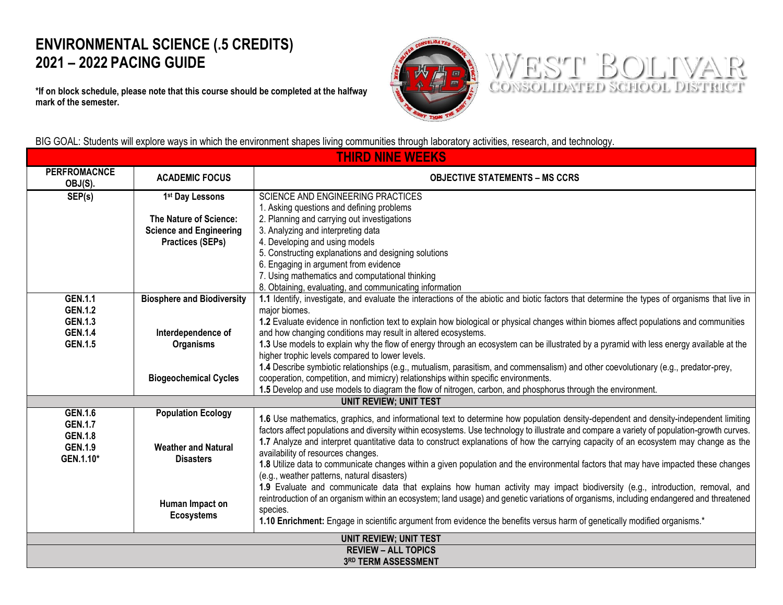## **ENVIRONMENTAL SCIENCE (.5 CREDITS) 2021 – 2022 PACING GUIDE**

**\*If on block schedule, please note that this course should be completed at the halfway mark of the semester.** 





BIG GOAL: Students will explore ways in which the environment shapes living communities through laboratory activities, research, and technology.

| <b>THIRD NINE WEEKS</b>                                     |                                                |                                                                                                                                               |  |  |  |
|-------------------------------------------------------------|------------------------------------------------|-----------------------------------------------------------------------------------------------------------------------------------------------|--|--|--|
| <b>PERFROMACNCE</b><br>OBJ(S).                              | <b>ACADEMIC FOCUS</b>                          | <b>OBJECTIVE STATEMENTS – MS CCRS</b>                                                                                                         |  |  |  |
| SEP(s)                                                      | 1 <sup>st</sup> Day Lessons                    | <b>SCIENCE AND ENGINEERING PRACTICES</b>                                                                                                      |  |  |  |
|                                                             |                                                | 1. Asking questions and defining problems                                                                                                     |  |  |  |
|                                                             | <b>The Nature of Science:</b>                  | 2. Planning and carrying out investigations                                                                                                   |  |  |  |
|                                                             | <b>Science and Engineering</b>                 | 3. Analyzing and interpreting data                                                                                                            |  |  |  |
|                                                             | <b>Practices (SEPs)</b>                        | 4. Developing and using models                                                                                                                |  |  |  |
|                                                             |                                                | 5. Constructing explanations and designing solutions                                                                                          |  |  |  |
|                                                             |                                                | 6. Engaging in argument from evidence                                                                                                         |  |  |  |
|                                                             |                                                | 7. Using mathematics and computational thinking                                                                                               |  |  |  |
|                                                             |                                                | 8. Obtaining, evaluating, and communicating information                                                                                       |  |  |  |
| <b>GEN.1.1</b>                                              | <b>Biosphere and Biodiversity</b>              | 1.1 Identify, investigate, and evaluate the interactions of the abiotic and biotic factors that determine the types of organisms that live in |  |  |  |
| <b>GEN.1.2</b>                                              |                                                | major biomes.                                                                                                                                 |  |  |  |
| <b>GEN.1.3</b>                                              |                                                | 1.2 Evaluate evidence in nonfiction text to explain how biological or physical changes within biomes affect populations and communities       |  |  |  |
| <b>GEN.1.4</b>                                              | Interdependence of                             | and how changing conditions may result in altered ecosystems.                                                                                 |  |  |  |
| <b>GEN.1.5</b>                                              | <b>Organisms</b>                               | 1.3 Use models to explain why the flow of energy through an ecosystem can be illustrated by a pyramid with less energy available at the       |  |  |  |
|                                                             |                                                | higher trophic levels compared to lower levels.                                                                                               |  |  |  |
|                                                             |                                                | 1.4 Describe symbiotic relationships (e.g., mutualism, parasitism, and commensalism) and other coevolutionary (e.g., predator-prey,           |  |  |  |
|                                                             | <b>Biogeochemical Cycles</b>                   | cooperation, competition, and mimicry) relationships within specific environments.                                                            |  |  |  |
|                                                             |                                                | 1.5 Develop and use models to diagram the flow of nitrogen, carbon, and phosphorus through the environment.                                   |  |  |  |
|                                                             |                                                | <b>UNIT REVIEW; UNIT TEST</b>                                                                                                                 |  |  |  |
| <b>GEN.1.6</b>                                              | <b>Population Ecology</b>                      | 1.6 Use mathematics, graphics, and informational text to determine how population density-dependent and density-independent limiting          |  |  |  |
| <b>GEN.1.7</b>                                              |                                                | factors affect populations and diversity within ecosystems. Use technology to illustrate and compare a variety of population-growth curves.   |  |  |  |
| <b>GEN.1.8</b>                                              |                                                | 1.7 Analyze and interpret quantitative data to construct explanations of how the carrying capacity of an ecosystem may change as the          |  |  |  |
| <b>GEN.1.9</b>                                              | <b>Weather and Natural</b><br><b>Disasters</b> | availability of resources changes.                                                                                                            |  |  |  |
| GEN.1.10*                                                   |                                                | 1.8 Utilize data to communicate changes within a given population and the environmental factors that may have impacted these changes          |  |  |  |
|                                                             |                                                | (e.g., weather patterns, natural disasters)                                                                                                   |  |  |  |
|                                                             |                                                | 1.9 Evaluate and communicate data that explains how human activity may impact biodiversity (e.g., introduction, removal, and                  |  |  |  |
|                                                             |                                                | reintroduction of an organism within an ecosystem; land usage) and genetic variations of organisms, including endangered and threatened       |  |  |  |
|                                                             | Human Impact on                                | species.                                                                                                                                      |  |  |  |
|                                                             | <b>Ecosystems</b>                              | 1.10 Enrichment: Engage in scientific argument from evidence the benefits versus harm of genetically modified organisms.*                     |  |  |  |
|                                                             |                                                |                                                                                                                                               |  |  |  |
| <b>UNIT REVIEW; UNIT TEST</b><br><b>REVIEW - ALL TOPICS</b> |                                                |                                                                                                                                               |  |  |  |
|                                                             | 3RD TERM ASSESSMENT                            |                                                                                                                                               |  |  |  |
|                                                             |                                                |                                                                                                                                               |  |  |  |